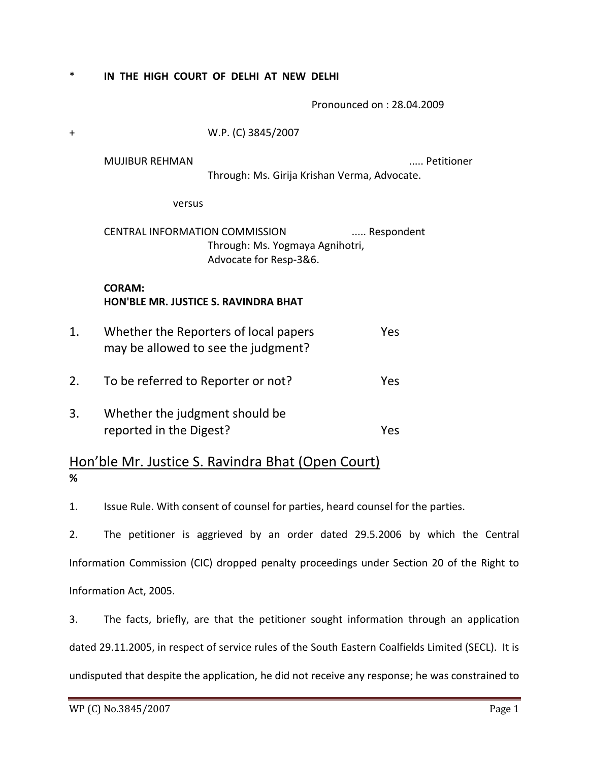\* **IN THE HIGH COURT OF DELHI AT NEW DELHI**

Pronounced on : 28.04.2009

| $\ddagger$ | W.P. (C) 3845/2007                                                                                               |                                              |            |
|------------|------------------------------------------------------------------------------------------------------------------|----------------------------------------------|------------|
|            | <b>MUJIBUR REHMAN</b>                                                                                            | Through: Ms. Girija Krishan Verma, Advocate. | Petitioner |
|            | versus                                                                                                           |                                              |            |
|            | <b>CENTRAL INFORMATION COMMISSION</b><br>Respondent<br>Through: Ms. Yogmaya Agnihotri,<br>Advocate for Resp-3&6. |                                              |            |
|            | <b>CORAM:</b><br><b>HON'BLE MR. JUSTICE S. RAVINDRA BHAT</b>                                                     |                                              |            |
| 1.         | Whether the Reporters of local papers<br>Yes<br>may be allowed to see the judgment?                              |                                              |            |
| 2.         | To be referred to Reporter or not?<br>Yes                                                                        |                                              |            |
| 3.         | Whether the judgment should be<br>reported in the Digest?<br>Yes                                                 |                                              |            |
|            |                                                                                                                  |                                              |            |

## Hon'ble Mr. Justice S. Ravindra Bhat (Open Court) **%**

1. Issue Rule. With consent of counsel for parties, heard counsel for the parties.

2. The petitioner is aggrieved by an order dated 29.5.2006 by which the Central Information Commission (CIC) dropped penalty proceedings under Section 20 of the Right to Information Act, 2005.

3. The facts, briefly, are that the petitioner sought information through an application dated 29.11.2005, in respect of service rules of the South Eastern Coalfields Limited (SECL). It is undisputed that despite the application, he did not receive any response; he was constrained to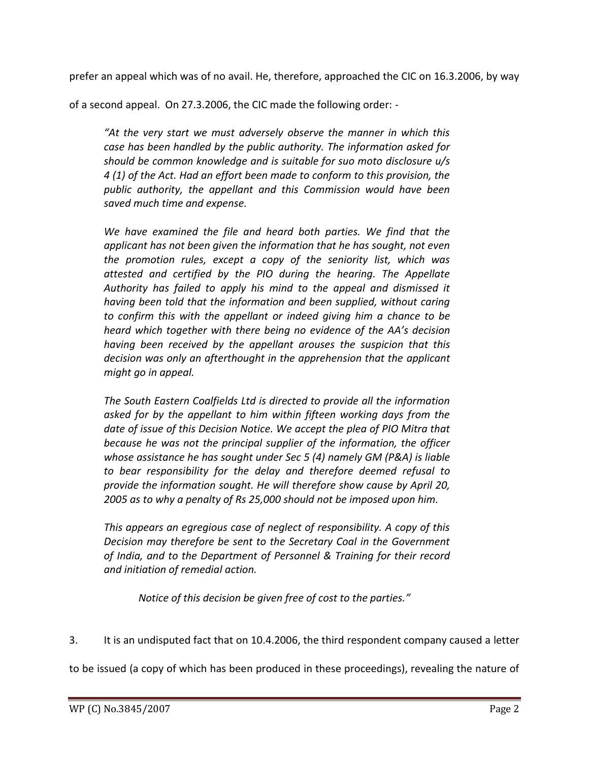prefer an appeal which was of no avail. He, therefore, approached the CIC on 16.3.2006, by way

of a second appeal. On 27.3.2006, the CIC made the following order: -

*"At the very start we must adversely observe the manner in which this case has been handled by the public authority. The information asked for should be common knowledge and is suitable for suo moto disclosure u/s 4 (1) of the Act. Had an effort been made to conform to this provision, the public authority, the appellant and this Commission would have been saved much time and expense.* 

*We have examined the file and heard both parties. We find that the applicant has not been given the information that he has sought, not even the promotion rules, except a copy of the seniority list, which was attested and certified by the PIO during the hearing. The Appellate Authority has failed to apply his mind to the appeal and dismissed it having been told that the information and been supplied, without caring to confirm this with the appellant or indeed giving him a chance to be heard which together with there being no evidence of the AA's decision having been received by the appellant arouses the suspicion that this decision was only an afterthought in the apprehension that the applicant might go in appeal.*

*The South Eastern Coalfields Ltd is directed to provide all the information asked for by the appellant to him within fifteen working days from the date of issue of this Decision Notice. We accept the plea of PIO Mitra that because he was not the principal supplier of the information, the officer whose assistance he has sought under Sec 5 (4) namely GM (P&A) is liable to bear responsibility for the delay and therefore deemed refusal to provide the information sought. He will therefore show cause by April 20, 2005 as to why a penalty of Rs 25,000 should not be imposed upon him.*

*This appears an egregious case of neglect of responsibility. A copy of this Decision may therefore be sent to the Secretary Coal in the Government of India, and to the Department of Personnel & Training for their record and initiation of remedial action.*

*Notice of this decision be given free of cost to the parties."*

3. It is an undisputed fact that on 10.4.2006, the third respondent company caused a letter

to be issued (a copy of which has been produced in these proceedings), revealing the nature of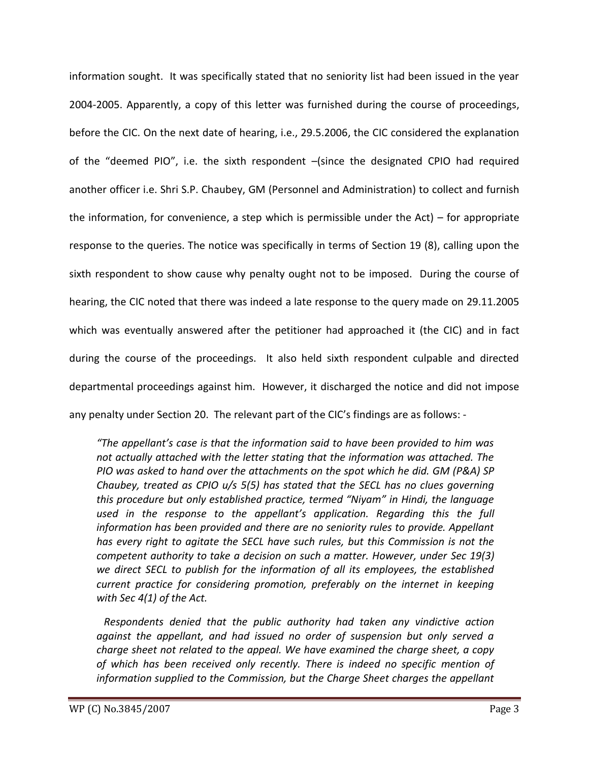information sought. It was specifically stated that no seniority list had been issued in the year 2004-2005. Apparently, a copy of this letter was furnished during the course of proceedings, before the CIC. On the next date of hearing, i.e., 29.5.2006, the CIC considered the explanation of the "deemed PIO", i.e. the sixth respondent –(since the designated CPIO had required another officer i.e. Shri S.P. Chaubey, GM (Personnel and Administration) to collect and furnish the information, for convenience, a step which is permissible under the Act) – for appropriate response to the queries. The notice was specifically in terms of Section 19 (8), calling upon the sixth respondent to show cause why penalty ought not to be imposed. During the course of hearing, the CIC noted that there was indeed a late response to the query made on 29.11.2005 which was eventually answered after the petitioner had approached it (the CIC) and in fact during the course of the proceedings. It also held sixth respondent culpable and directed departmental proceedings against him. However, it discharged the notice and did not impose any penalty under Section 20. The relevant part of the CIC's findings are as follows: -

*"The appellant's case is that the information said to have been provided to him was not actually attached with the letter stating that the information was attached. The PIO was asked to hand over the attachments on the spot which he did. GM (P&A) SP Chaubey, treated as CPIO u/s 5(5) has stated that the SECL has no clues governing this procedure but only established practice, termed "Niyam" in Hindi, the language used in the response to the appellant's application. Regarding this the full information has been provided and there are no seniority rules to provide. Appellant has every right to agitate the SECL have such rules, but this Commission is not the competent authority to take a decision on such a matter. However, under Sec 19(3) we direct SECL to publish for the information of all its employees, the established current practice for considering promotion, preferably on the internet in keeping with Sec 4(1) of the Act.*

*Respondents denied that the public authority had taken any vindictive action against the appellant, and had issued no order of suspension but only served a charge sheet not related to the appeal. We have examined the charge sheet, a copy of which has been received only recently. There is indeed no specific mention of information supplied to the Commission, but the Charge Sheet charges the appellant*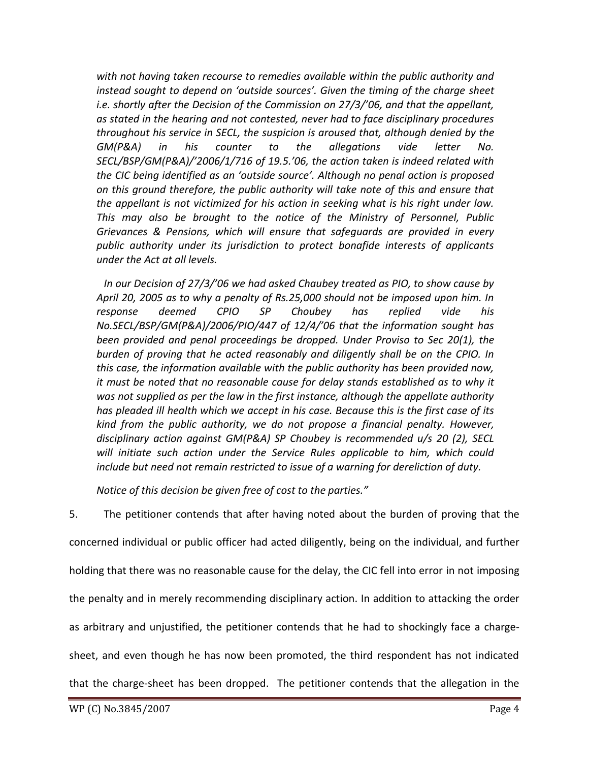*with not having taken recourse to remedies available within the public authority and instead sought to depend on 'outside sources'. Given the timing of the charge sheet i.e. shortly after the Decision of the Commission on 27/3/'06, and that the appellant, as stated in the hearing and not contested, never had to face disciplinary procedures throughout his service in SECL, the suspicion is aroused that, although denied by the GM(P&A) in his counter to the allegations vide letter No. SECL/BSP/GM(P&A)/'2006/1/716 of 19.5.'06, the action taken is indeed related with the CIC being identified as an 'outside source'. Although no penal action is proposed on this ground therefore, the public authority will take note of this and ensure that the appellant is not victimized for his action in seeking what is his right under law. This may also be brought to the notice of the Ministry of Personnel, Public Grievances & Pensions, which will ensure that safeguards are provided in every public authority under its jurisdiction to protect bonafide interests of applicants under the Act at all levels.*

*In our Decision of 27/3/'06 we had asked Chaubey treated as PIO, to show cause by April 20, 2005 as to why a penalty of Rs.25,000 should not be imposed upon him. In response deemed CPIO SP Choubey has replied vide his No.SECL/BSP/GM(P&A)/2006/PIO/447 of 12/4/'06 that the information sought has been provided and penal proceedings be dropped. Under Proviso to Sec 20(1), the burden of proving that he acted reasonably and diligently shall be on the CPIO. In this case, the information available with the public authority has been provided now, it must be noted that no reasonable cause for delay stands established as to why it was not supplied as per the law in the first instance, although the appellate authority has pleaded ill health which we accept in his case. Because this is the first case of its kind from the public authority, we do not propose a financial penalty. However, disciplinary action against GM(P&A) SP Choubey is recommended u/s 20 (2), SECL will initiate such action under the Service Rules applicable to him, which could include but need not remain restricted to issue of a warning for dereliction of duty.*

*Notice of this decision be given free of cost to the parties."*

5. The petitioner contends that after having noted about the burden of proving that the concerned individual or public officer had acted diligently, being on the individual, and further holding that there was no reasonable cause for the delay, the CIC fell into error in not imposing the penalty and in merely recommending disciplinary action. In addition to attacking the order as arbitrary and unjustified, the petitioner contends that he had to shockingly face a chargesheet, and even though he has now been promoted, the third respondent has not indicated that the charge-sheet has been dropped. The petitioner contends that the allegation in the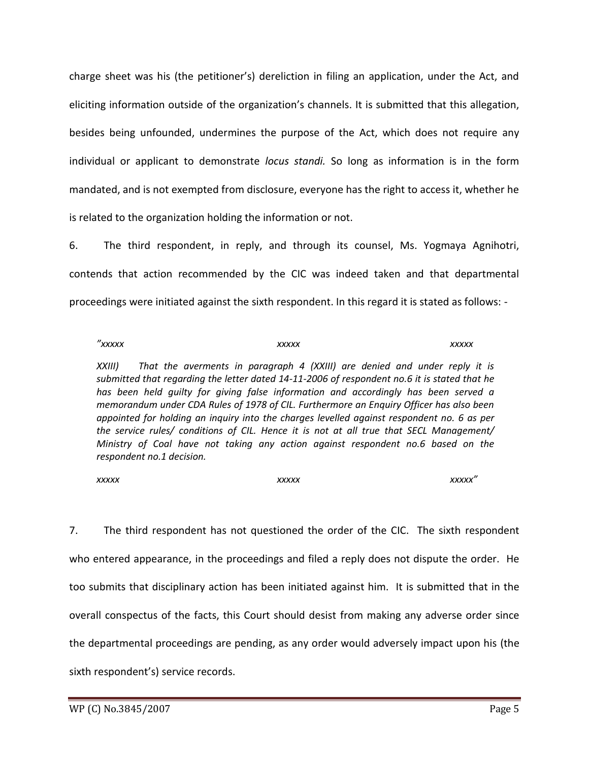charge sheet was his (the petitioner's) dereliction in filing an application, under the Act, and eliciting information outside of the organization's channels. It is submitted that this allegation, besides being unfounded, undermines the purpose of the Act, which does not require any individual or applicant to demonstrate *locus standi.* So long as information is in the form mandated, and is not exempted from disclosure, everyone has the right to access it, whether he is related to the organization holding the information or not.

6. The third respondent, in reply, and through its counsel, Ms. Yogmaya Agnihotri, contends that action recommended by the CIC was indeed taken and that departmental proceedings were initiated against the sixth respondent. In this regard it is stated as follows: -

| $''$ xxxxx                          | <b>XXXXX</b>                                                                                                                                                                                                                                                                                                                                                                                                                                                                                                                                                                                                                              | <b>XXXXX</b> |
|-------------------------------------|-------------------------------------------------------------------------------------------------------------------------------------------------------------------------------------------------------------------------------------------------------------------------------------------------------------------------------------------------------------------------------------------------------------------------------------------------------------------------------------------------------------------------------------------------------------------------------------------------------------------------------------------|--------------|
| XXIII)<br>respondent no.1 decision. | That the averments in paragraph 4 (XXIII) are denied and under reply it is<br>submitted that regarding the letter dated 14-11-2006 of respondent no.6 it is stated that he<br>has been held guilty for giving false information and accordingly has been served a<br>memorandum under CDA Rules of 1978 of CIL. Furthermore an Enquiry Officer has also been<br>appointed for holding an inquiry into the charges levelled against respondent no. 6 as per<br>the service rules/ conditions of CIL. Hence it is not at all true that SECL Management/<br>Ministry of Coal have not taking any action against respondent no.6 based on the |              |
|                                     |                                                                                                                                                                                                                                                                                                                                                                                                                                                                                                                                                                                                                                           |              |

*xxxxx xxxxx xxxxx"*

7. The third respondent has not questioned the order of the CIC. The sixth respondent who entered appearance, in the proceedings and filed a reply does not dispute the order. He too submits that disciplinary action has been initiated against him. It is submitted that in the overall conspectus of the facts, this Court should desist from making any adverse order since the departmental proceedings are pending, as any order would adversely impact upon his (the sixth respondent's) service records.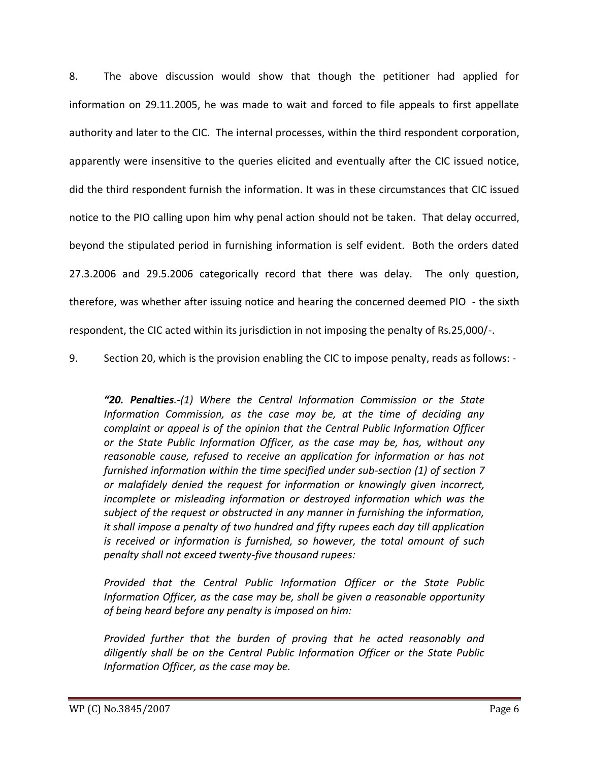8. The above discussion would show that though the petitioner had applied for information on 29.11.2005, he was made to wait and forced to file appeals to first appellate authority and later to the CIC. The internal processes, within the third respondent corporation, apparently were insensitive to the queries elicited and eventually after the CIC issued notice, did the third respondent furnish the information. It was in these circumstances that CIC issued notice to the PIO calling upon him why penal action should not be taken. That delay occurred, beyond the stipulated period in furnishing information is self evident. Both the orders dated 27.3.2006 and 29.5.2006 categorically record that there was delay. The only question, therefore, was whether after issuing notice and hearing the concerned deemed PIO - the sixth respondent, the CIC acted within its jurisdiction in not imposing the penalty of Rs.25,000/-.

9. Section 20, which is the provision enabling the CIC to impose penalty, reads as follows: -

*"20. Penalties.-(1) Where the Central Information Commission or the State Information Commission, as the case may be, at the time of deciding any complaint or appeal is of the opinion that the Central Public Information Officer or the State Public Information Officer, as the case may be, has, without any reasonable cause, refused to receive an application for information or has not furnished information within the time specified under sub-section (1) of section 7 or malafidely denied the request for information or knowingly given incorrect, incomplete or misleading information or destroyed information which was the subject of the request or obstructed in any manner in furnishing the information, it shall impose a penalty of two hundred and fifty rupees each day till application is received or information is furnished, so however, the total amount of such penalty shall not exceed twenty-five thousand rupees:*

*Provided that the Central Public Information Officer or the State Public Information Officer, as the case may be, shall be given a reasonable opportunity of being heard before any penalty is imposed on him:*

*Provided further that the burden of proving that he acted reasonably and diligently shall be on the Central Public Information Officer or the State Public Information Officer, as the case may be.*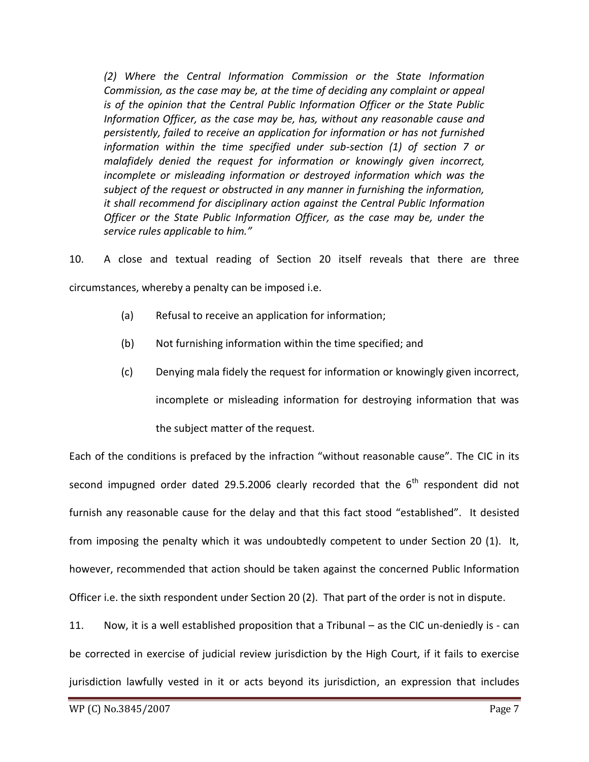*(2) Where the Central Information Commission or the State Information Commission, as the case may be, at the time of deciding any complaint or appeal is of the opinion that the Central Public Information Officer or the State Public Information Officer, as the case may be, has, without any reasonable cause and persistently, failed to receive an application for information or has not furnished information within the time specified under sub-section (1) of section 7 or malafidely denied the request for information or knowingly given incorrect, incomplete or misleading information or destroyed information which was the subject of the request or obstructed in any manner in furnishing the information, it shall recommend for disciplinary action against the Central Public Information Officer or the State Public Information Officer, as the case may be, under the service rules applicable to him."*

10. A close and textual reading of Section 20 itself reveals that there are three circumstances, whereby a penalty can be imposed i.e.

- (a) Refusal to receive an application for information;
- (b) Not furnishing information within the time specified; and
- (c) Denying mala fidely the request for information or knowingly given incorrect, incomplete or misleading information for destroying information that was the subject matter of the request.

Each of the conditions is prefaced by the infraction "without reasonable cause". The CIC in its second impugned order dated 29.5.2006 clearly recorded that the  $6<sup>th</sup>$  respondent did not furnish any reasonable cause for the delay and that this fact stood "established". It desisted from imposing the penalty which it was undoubtedly competent to under Section 20 (1). It, however, recommended that action should be taken against the concerned Public Information Officer i.e. the sixth respondent under Section 20 (2). That part of the order is not in dispute.

11. Now, it is a well established proposition that a Tribunal – as the CIC un-deniedly is - can be corrected in exercise of judicial review jurisdiction by the High Court, if it fails to exercise jurisdiction lawfully vested in it or acts beyond its jurisdiction, an expression that includes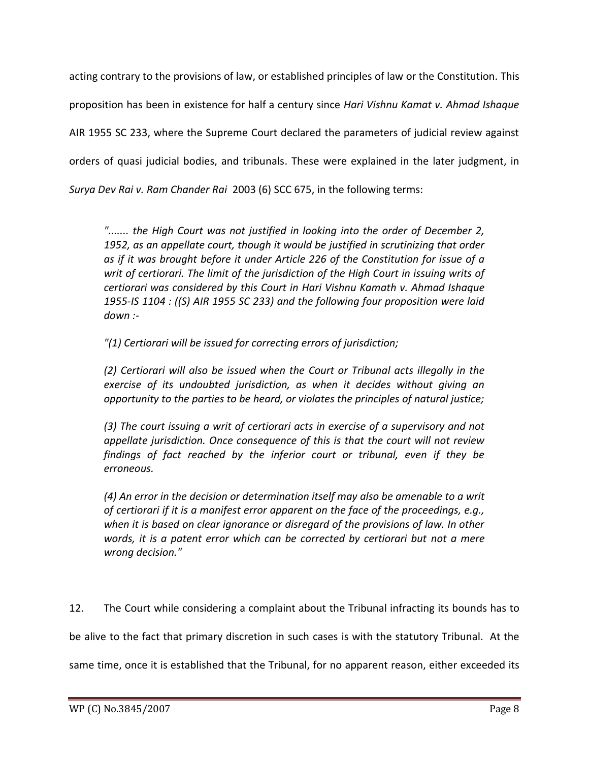acting contrary to the provisions of law, or established principles of law or the Constitution. This proposition has been in existence for half a century since *Hari Vishnu Kamat v. Ahmad Ishaque*  AIR 1955 SC 233, where the Supreme Court declared the parameters of judicial review against orders of quasi judicial bodies, and tribunals. These were explained in the later judgment, in *Surya Dev Rai v. Ram Chander Rai* 2003 (6) SCC 675, in the following terms:

*"....... the High Court was not justified in looking into the order of December 2, 1952, as an appellate court, though it would be justified in scrutinizing that order as if it was brought before it under Article 226 of the Constitution for issue of a writ of certiorari. The limit of the jurisdiction of the High Court in issuing writs of certiorari was considered by this Court in Hari Vishnu Kamath v. Ahmad Ishaque 1955-IS 1104 : ((S) AIR 1955 SC 233) and the following four proposition were laid down :-*

*"(1) Certiorari will be issued for correcting errors of jurisdiction;* 

*(2) Certiorari will also be issued when the Court or Tribunal acts illegally in the exercise of its undoubted jurisdiction, as when it decides without giving an opportunity to the parties to be heard, or violates the principles of natural justice;* 

*(3) The court issuing a writ of certiorari acts in exercise of a supervisory and not appellate jurisdiction. Once consequence of this is that the court will not review findings of fact reached by the inferior court or tribunal, even if they be erroneous.* 

*(4) An error in the decision or determination itself may also be amenable to a writ of certiorari if it is a manifest error apparent on the face of the proceedings, e.g., when it is based on clear ignorance or disregard of the provisions of law. In other words, it is a patent error which can be corrected by certiorari but not a mere wrong decision."* 

12. The Court while considering a complaint about the Tribunal infracting its bounds has to

be alive to the fact that primary discretion in such cases is with the statutory Tribunal. At the

same time, once it is established that the Tribunal, for no apparent reason, either exceeded its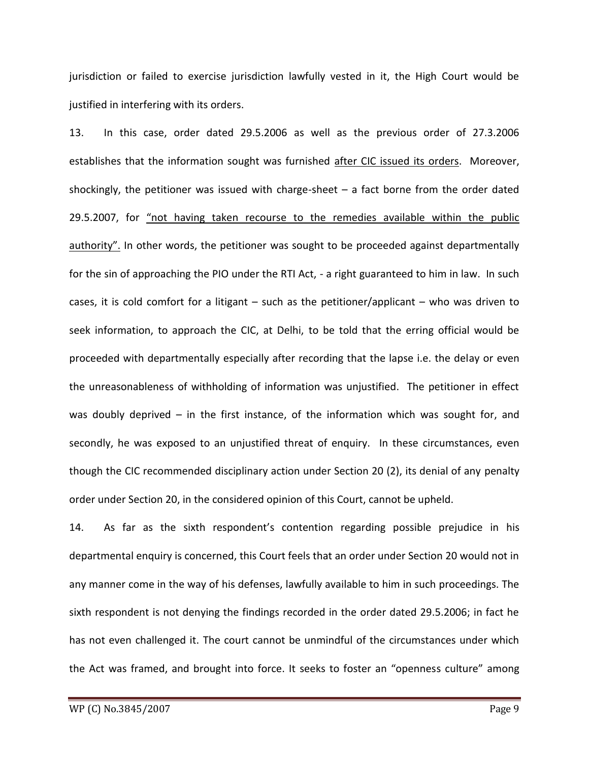jurisdiction or failed to exercise jurisdiction lawfully vested in it, the High Court would be justified in interfering with its orders.

13. In this case, order dated 29.5.2006 as well as the previous order of 27.3.2006 establishes that the information sought was furnished after CIC issued its orders. Moreover, shockingly, the petitioner was issued with charge-sheet  $-$  a fact borne from the order dated 29.5.2007, for "not having taken recourse to the remedies available within the public authority". In other words, the petitioner was sought to be proceeded against departmentally for the sin of approaching the PIO under the RTI Act, - a right guaranteed to him in law. In such cases, it is cold comfort for a litigant – such as the petitioner/applicant – who was driven to seek information, to approach the CIC, at Delhi, to be told that the erring official would be proceeded with departmentally especially after recording that the lapse i.e. the delay or even the unreasonableness of withholding of information was unjustified. The petitioner in effect was doubly deprived – in the first instance, of the information which was sought for, and secondly, he was exposed to an unjustified threat of enquiry. In these circumstances, even though the CIC recommended disciplinary action under Section 20 (2), its denial of any penalty order under Section 20, in the considered opinion of this Court, cannot be upheld.

14. As far as the sixth respondent's contention regarding possible prejudice in his departmental enquiry is concerned, this Court feels that an order under Section 20 would not in any manner come in the way of his defenses, lawfully available to him in such proceedings. The sixth respondent is not denying the findings recorded in the order dated 29.5.2006; in fact he has not even challenged it. The court cannot be unmindful of the circumstances under which the Act was framed, and brought into force. It seeks to foster an "openness culture" among